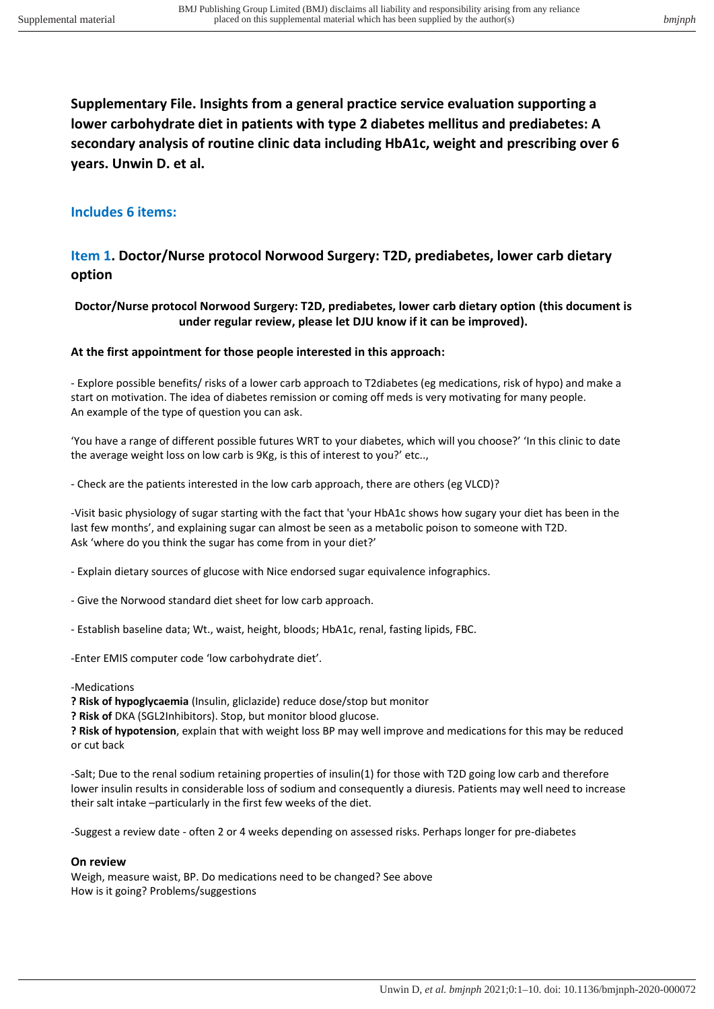**Supplementary File. Insights from a general practice service evaluation supporting a lower carbohydrate diet in patients with type 2 diabetes mellitus and prediabetes: A secondary analysis of routine clinic data including HbA1c, weight and prescribing over 6 years. Unwin D. et al.** 

### **Includes 6 items:**

### **Item 1. Doctor/Nurse protocol Norwood Surgery: T2D, prediabetes, lower carb dietary option**

#### **Doctor/Nurse protocol Norwood Surgery: T2D, prediabetes, lower carb dietary option (this document is under regular review, please let DJU know if it can be improved).**

#### **At the first appointment for those people interested in this approach:**

- Explore possible benefits/ risks of a lower carb approach to T2diabetes (eg medications, risk of hypo) and make a start on motivation. The idea of diabetes remission or coming off meds is very motivating for many people. An example of the type of question you can ask.

'You have a range of different possible futures WRT to your diabetes, which will you choose?' 'In this clinic to date the average weight loss on low carb is 9Kg, is this of interest to you?' etc..,

- Check are the patients interested in the low carb approach, there are others (eg VLCD)?

-Visit basic physiology of sugar starting with the fact that 'your HbA1c shows how sugary your diet has been in the last few months', and explaining sugar can almost be seen as a metabolic poison to someone with T2D. Ask 'where do you think the sugar has come from in your diet?'

- Explain dietary sources of glucose with Nice endorsed sugar equivalence infographics.

- Give the Norwood standard diet sheet for low carb approach.
- Establish baseline data; Wt., waist, height, bloods; HbA1c, renal, fasting lipids, FBC.

-Enter EMIS computer code 'low carbohydrate diet'.

#### -Medications

**? Risk of hypoglycaemia** (Insulin, gliclazide) reduce dose/stop but monitor

**? Risk of** DKA (SGL2Inhibitors). Stop, but monitor blood glucose.

**? Risk of hypotension**, explain that with weight loss BP may well improve and medications for this may be reduced or cut back

-Salt; Due to the renal sodium retaining properties of insulin(1) for those with T2D going low carb and therefore lower insulin results in considerable loss of sodium and consequently a diuresis. Patients may well need to increase their salt intake –particularly in the first few weeks of the diet.

-Suggest a review date - often 2 or 4 weeks depending on assessed risks. Perhaps longer for pre-diabetes

#### **On review**

Weigh, measure waist, BP. Do medications need to be changed? See above How is it going? Problems/suggestions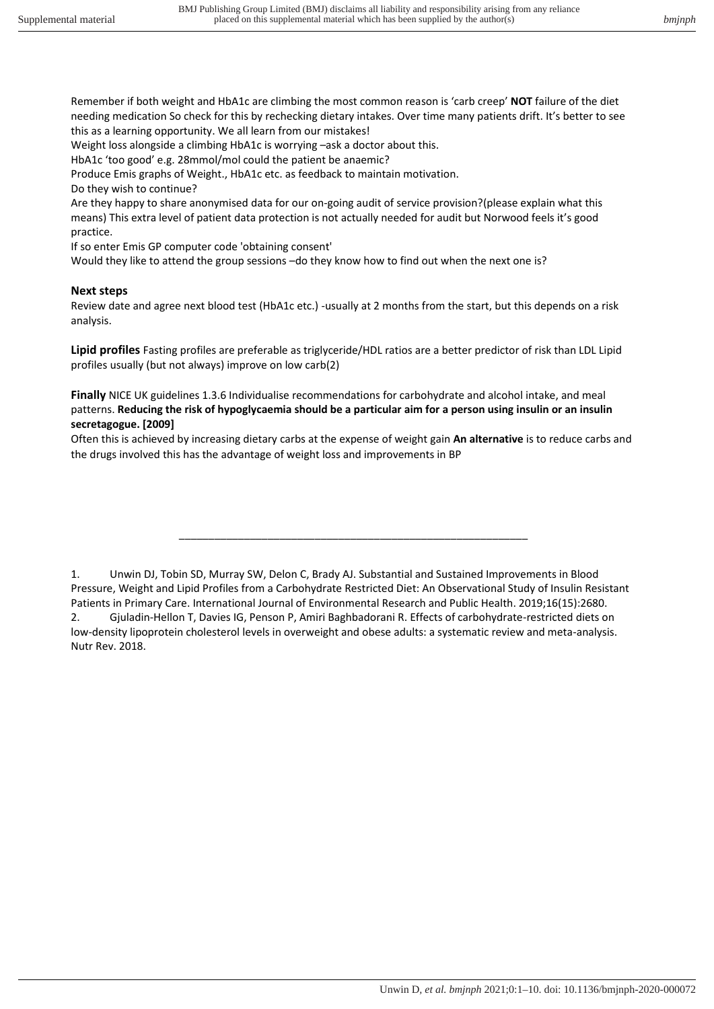Remember if both weight and HbA1c are climbing the most common reason is 'carb creep' **NOT** failure of the diet needing medication So check for this by rechecking dietary intakes. Over time many patients drift. It's better to see this as a learning opportunity. We all learn from our mistakes!

Weight loss alongside a climbing HbA1c is worrying –ask a doctor about this.

HbA1c 'too good' e.g. 28mmol/mol could the patient be anaemic?

Produce Emis graphs of Weight., HbA1c etc. as feedback to maintain motivation.

Do they wish to continue?

Are they happy to share anonymised data for our on-going audit of service provision?(please explain what this means) This extra level of patient data protection is not actually needed for audit but Norwood feels it's good practice.

If so enter Emis GP computer code 'obtaining consent'

Would they like to attend the group sessions –do they know how to find out when the next one is?

#### **Next steps**

Review date and agree next blood test (HbA1c etc.) -usually at 2 months from the start, but this depends on a risk analysis.

**Lipid profiles** Fasting profiles are preferable as triglyceride/HDL ratios are a better predictor of risk than LDL Lipid profiles usually (but not always) improve on low carb(2)

**Finally** NICE UK guidelines 1.3.6 Individualise recommendations for carbohydrate and alcohol intake, and meal patterns. **Reducing the risk of hypoglycaemia should be a particular aim for a person using insulin or an insulin secretagogue. [2009]** 

Often this is achieved by increasing dietary carbs at the expense of weight gain **An alternative** is to reduce carbs and the drugs involved this has the advantage of weight loss and improvements in BP

\_\_\_\_\_\_\_\_\_\_\_\_\_\_\_\_\_\_\_\_\_\_\_\_\_\_\_\_\_\_\_\_\_\_\_\_\_\_\_\_\_\_\_\_\_\_\_\_\_\_\_\_\_\_\_\_\_\_\_

<sup>1.</sup> Unwin DJ, Tobin SD, Murray SW, Delon C, Brady AJ. Substantial and Sustained Improvements in Blood Pressure, Weight and Lipid Profiles from a Carbohydrate Restricted Diet: An Observational Study of Insulin Resistant Patients in Primary Care. International Journal of Environmental Research and Public Health. 2019;16(15):2680. 2. Gjuladin-Hellon T, Davies IG, Penson P, Amiri Baghbadorani R. Effects of carbohydrate-restricted diets on low-density lipoprotein cholesterol levels in overweight and obese adults: a systematic review and meta-analysis. Nutr Rev. 2018.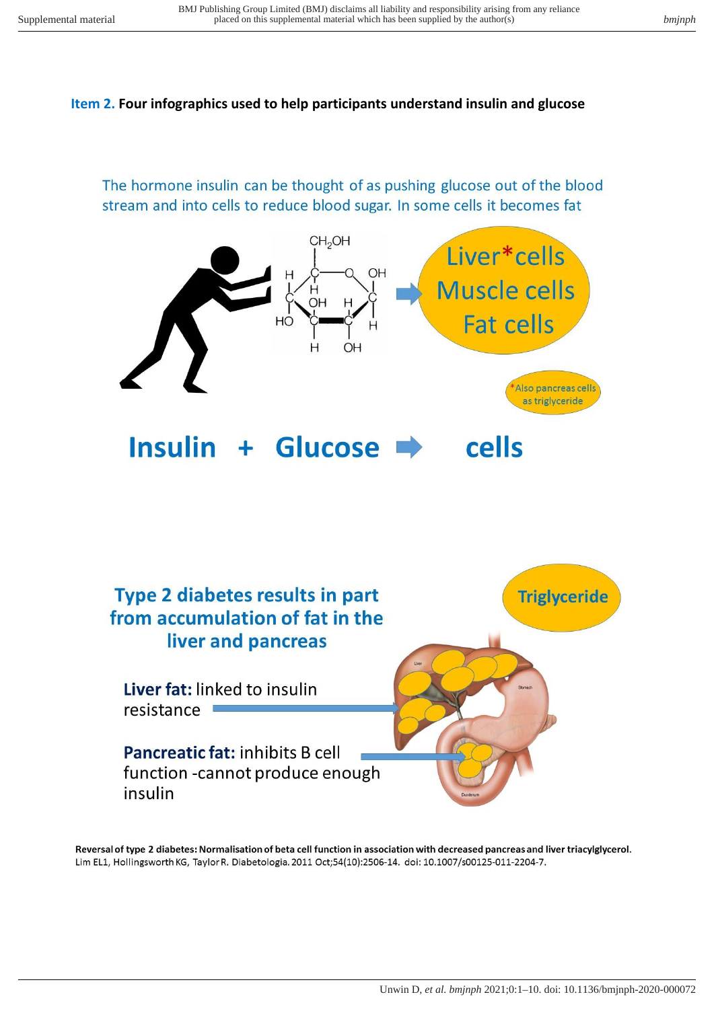### **Item 2. Four infographics used to help participants understand insulin and glucose**

The hormone insulin can be thought of as pushing glucose out of the blood stream and into cells to reduce blood sugar. In some cells it becomes fat





Reversal of type 2 diabetes: Normalisation of beta cell function in association with decreased pancreas and liver triacylglycerol. Lim EL1, Hollingsworth KG, Taylor R. Diabetologia. 2011 Oct;54(10):2506-14. doi: 10.1007/s00125-011-2204-7.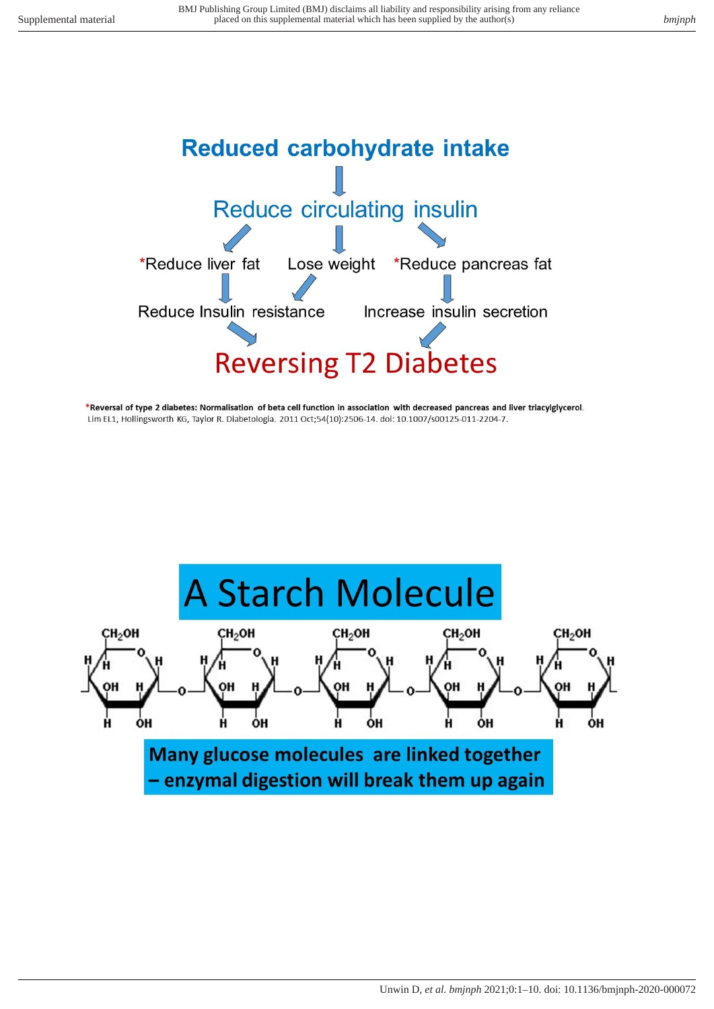

\*Reversal of type 2 diabetes: Normalisation of beta cell function in association with decreased pancreas and liver triacylglycerol. Lim EL1, Hollingsworth KG, Taylor R. Diabetologia. 2011 Oct;54(10):2506-14. doi: 10.1007/s00125-011-2204-7.

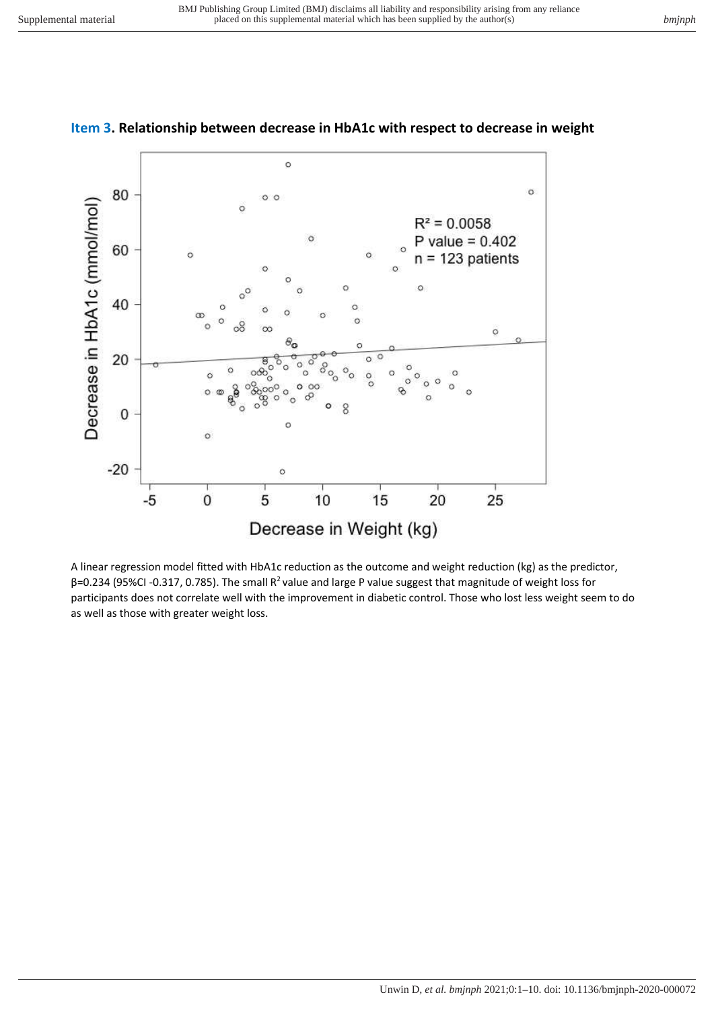

### **Item 3. Relationship between decrease in HbA1c with respect to decrease in weight**

A linear regression model fitted with HbA1c reduction as the outcome and weight reduction (kg) as the predictor, β=0.234 (95%CI -0.317, 0.785). The small R<sup>2</sup>value and large P value suggest that magnitude of weight loss for participants does not correlate well with the improvement in diabetic control. Those who lost less weight seem to do as well as those with greater weight loss.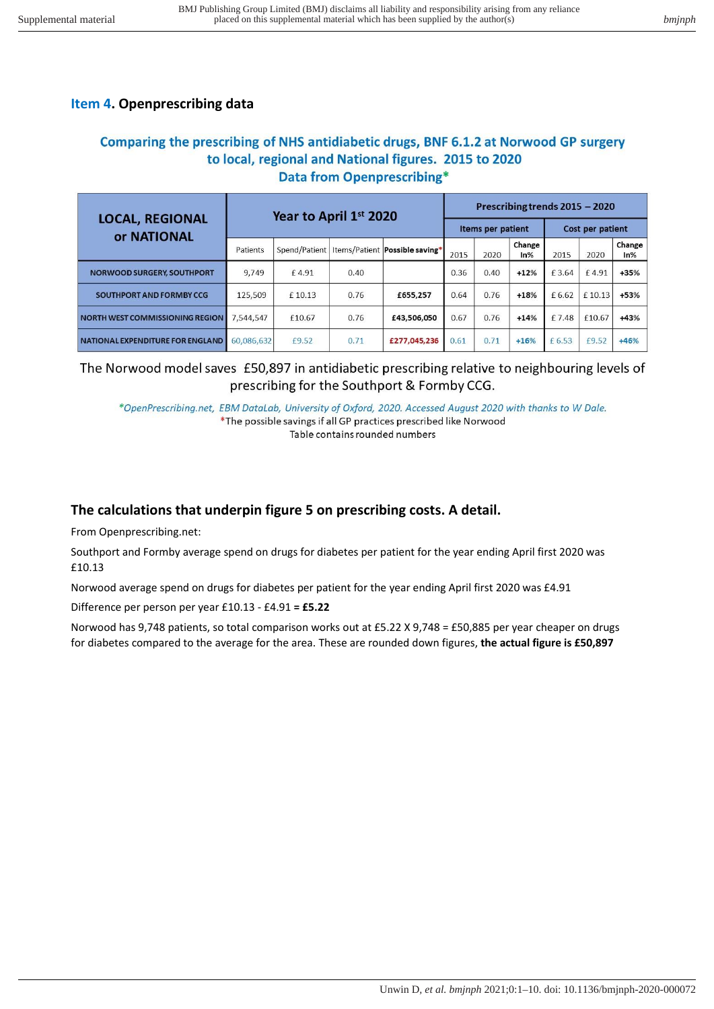## **Item 4. Openprescribing data**

## Comparing the prescribing of NHS antidiabetic drugs, BNF 6.1.2 at Norwood GP surgery to local, regional and National figures. 2015 to 2020 **Data from Openprescribing\***

| <b>LOCAL, REGIONAL</b><br>or NATIONAL | Year to April 1st 2020 |        |      |                                                  | Prescribing trends 2015 - 2020 |      |               |                  |        |               |
|---------------------------------------|------------------------|--------|------|--------------------------------------------------|--------------------------------|------|---------------|------------------|--------|---------------|
|                                       |                        |        |      |                                                  | Items per patient              |      |               | Cost per patient |        |               |
|                                       | Patients               |        |      | Spend/Patient   Items/Patient   Possible saving* | 2015                           | 2020 | Change<br>In% | 2015             | 2020   | Change<br>In% |
| <b>NORWOOD SURGERY, SOUTHPORT</b>     | 9,749                  | £4.91  | 0.40 |                                                  | 0.36                           | 0.40 | $+12%$        | £3.64            | £4.91  | +35%          |
| SOUTHPORT AND FORMBY CCG              | 125.509                | £10.13 | 0.76 | £655,257                                         | 0.64                           | 0.76 | $+18%$        | £ 6.62           | £10.13 | +53%          |
| NORTH WEST COMMISSIONING REGION       | 7.544.547              | £10.67 | 0.76 | £43,506,050                                      | 0.67                           | 0.76 | $+14%$        | £7.48            | £10.67 | +43%          |
| NATIONAL EXPENDITURE FOR ENGLAND      | 60,086,632             | £9.52  | 0.71 | £277,045,236                                     | 0.61                           | 0.71 | $+16%$        | £ 6.53           | £9.52  | +46%          |

## The Norwood model saves £50,897 in antidiabetic prescribing relative to neighbouring levels of prescribing for the Southport & Formby CCG.

\*OpenPrescribing.net, EBM DataLab, University of Oxford, 2020. Accessed August 2020 with thanks to W Dale. \*The possible savings if all GP practices prescribed like Norwood Table contains rounded numbers

# **The calculations that underpin figure 5 on prescribing costs. A detail.**

From Openprescribing.net:

Southport and Formby average spend on drugs for diabetes per patient for the year ending April first 2020 was £10.13

Norwood average spend on drugs for diabetes per patient for the year ending April first 2020 was £4.91

Difference per person per year £10.13 - £4.91 **= £5.22**

Norwood has 9,748 patients, so total comparison works out at £5.22 X 9,748 = £50,885 per year cheaper on drugs for diabetes compared to the average for the area. These are rounded down figures, **the actual figure is £50,897**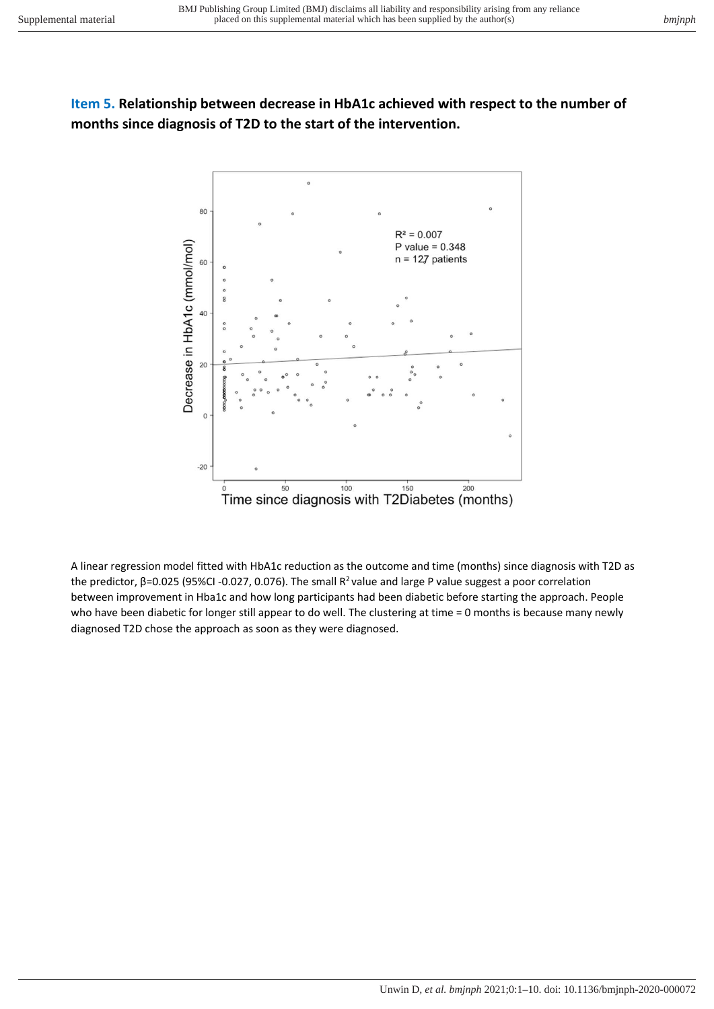# **Item 5. Relationship between decrease in HbA1c achieved with respect to the number of months since diagnosis of T2D to the start of the intervention.**



A linear regression model fitted with HbA1c reduction as the outcome and time (months) since diagnosis with T2D as the predictor, β=0.025 (95%CI -0.027, 0.076). The small  $R^2$  value and large P value suggest a poor correlation between improvement in Hba1c and how long participants had been diabetic before starting the approach. People who have been diabetic for longer still appear to do well. The clustering at time = 0 months is because many newly diagnosed T2D chose the approach as soon as they were diagnosed.